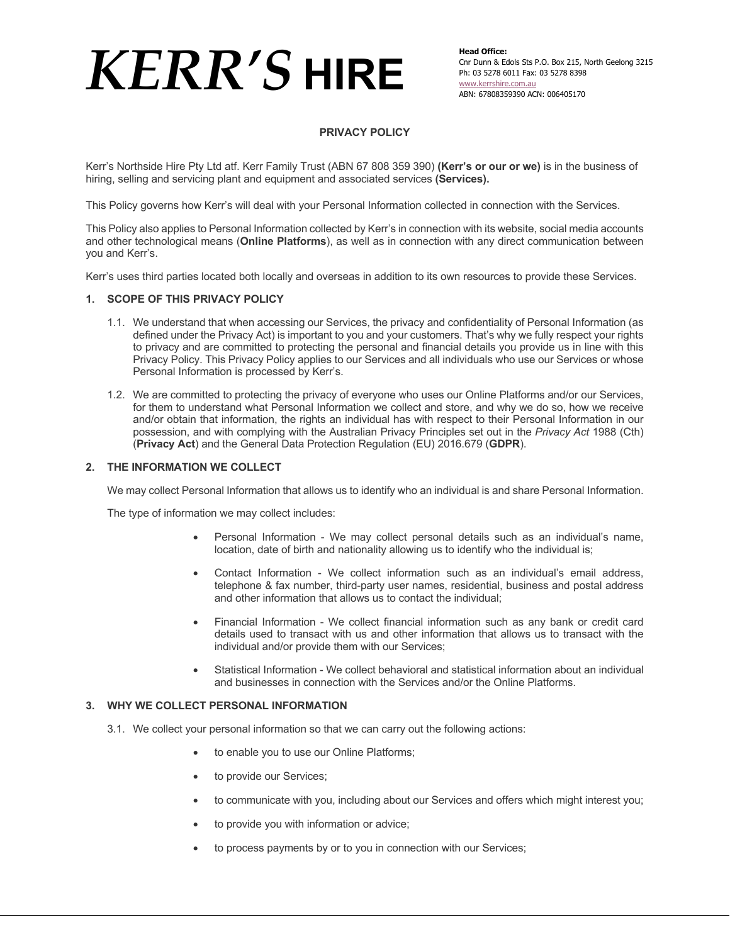# **PRIVACY POLICY**

Kerr's Northside Hire Pty Ltd atf. Kerr Family Trust (ABN 67 808 359 390) **(Kerr's or our or we)** is in the business of hiring, selling and servicing plant and equipment and associated services **(Services).**

This Policy governs how Kerr's will deal with your Personal Information collected in connection with the Services.

This Policy also applies to Personal Information collected by Kerr's in connection with its website, social media accounts and other technological means (**Online Platforms**), as well as in connection with any direct communication between you and Kerr's.

Kerr's uses third parties located both locally and overseas in addition to its own resources to provide these Services.

### **1. SCOPE OF THIS PRIVACY POLICY**

- 1.1. We understand that when accessing our Services, the privacy and confidentiality of Personal Information (as defined under the Privacy Act) is important to you and your customers. That's why we fully respect your rights to privacy and are committed to protecting the personal and financial details you provide us in line with this Privacy Policy. This Privacy Policy applies to our Services and all individuals who use our Services or whose Personal Information is processed by Kerr's.
- 1.2. We are committed to protecting the privacy of everyone who uses our Online Platforms and/or our Services, for them to understand what Personal Information we collect and store, and why we do so, how we receive and/or obtain that information, the rights an individual has with respect to their Personal Information in our possession, and with complying with the Australian Privacy Principles set out in the *Privacy Act* 1988 (Cth) (**Privacy Act**) and the General Data Protection Regulation (EU) 2016.679 (**GDPR**).

### **2. THE INFORMATION WE COLLECT**

We may collect Personal Information that allows us to identify who an individual is and share Personal Information.

The type of information we may collect includes:

- Personal Information We may collect personal details such as an individual's name, location, date of birth and nationality allowing us to identify who the individual is;
- Contact Information We collect information such as an individual's email address, telephone & fax number, third-party user names, residential, business and postal address and other information that allows us to contact the individual;
- Financial Information We collect financial information such as any bank or credit card details used to transact with us and other information that allows us to transact with the individual and/or provide them with our Services;
- Statistical Information We collect behavioral and statistical information about an individual and businesses in connection with the Services and/or the Online Platforms.

### **3. WHY WE COLLECT PERSONAL INFORMATION**

- 3.1. We collect your personal information so that we can carry out the following actions:
	- to enable you to use our Online Platforms;
	- to provide our Services;
	- to communicate with you, including about our Services and offers which might interest you;
	- to provide you with information or advice;
	- to process payments by or to you in connection with our Services;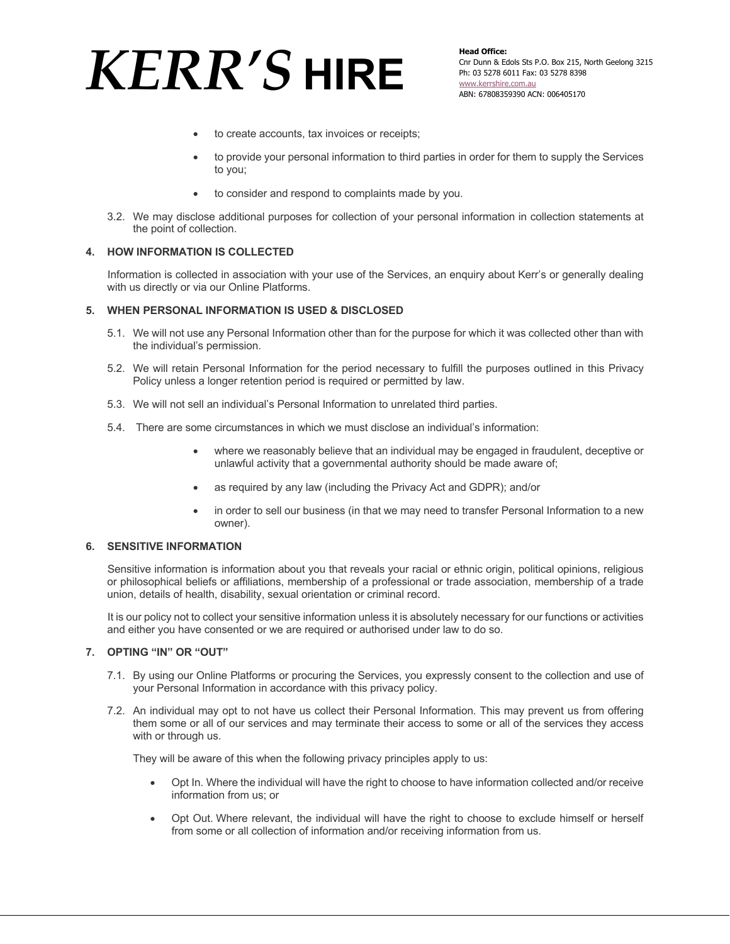**Head Office:** Cnr Dunn & Edols Sts P.O. Box 215, North Geelong 3215 Ph: 03 5278 6011 Fax: 03 5278 8398 www.kerrshire.com.au ABN: 67808359390 ACN: 006405170

- to create accounts, tax invoices or receipts;
- to provide your personal information to third parties in order for them to supply the Services to you;
- to consider and respond to complaints made by you.
- 3.2. We may disclose additional purposes for collection of your personal information in collection statements at the point of collection.

## **4. HOW INFORMATION IS COLLECTED**

Information is collected in association with your use of the Services, an enquiry about Kerr's or generally dealing with us directly or via our Online Platforms.

### **5. WHEN PERSONAL INFORMATION IS USED & DISCLOSED**

- 5.1. We will not use any Personal Information other than for the purpose for which it was collected other than with the individual's permission.
- 5.2. We will retain Personal Information for the period necessary to fulfill the purposes outlined in this Privacy Policy unless a longer retention period is required or permitted by law.
- 5.3. We will not sell an individual's Personal Information to unrelated third parties.
- 5.4. There are some circumstances in which we must disclose an individual's information:
	- where we reasonably believe that an individual may be engaged in fraudulent, deceptive or unlawful activity that a governmental authority should be made aware of;
	- as required by any law (including the Privacy Act and GDPR); and/or
	- in order to sell our business (in that we may need to transfer Personal Information to a new owner).

# **6. SENSITIVE INFORMATION**

Sensitive information is information about you that reveals your racial or ethnic origin, political opinions, religious or philosophical beliefs or affiliations, membership of a professional or trade association, membership of a trade union, details of health, disability, sexual orientation or criminal record.

It is our policy not to collect your sensitive information unless it is absolutely necessary for our functions or activities and either you have consented or we are required or authorised under law to do so.

### **7. OPTING "IN" OR "OUT"**

- 7.1. By using our Online Platforms or procuring the Services, you expressly consent to the collection and use of your Personal Information in accordance with this privacy policy.
- 7.2. An individual may opt to not have us collect their Personal Information. This may prevent us from offering them some or all of our services and may terminate their access to some or all of the services they access with or through us.

They will be aware of this when the following privacy principles apply to us:

- Opt In. Where the individual will have the right to choose to have information collected and/or receive information from us; or
- Opt Out. Where relevant, the individual will have the right to choose to exclude himself or herself from some or all collection of information and/or receiving information from us.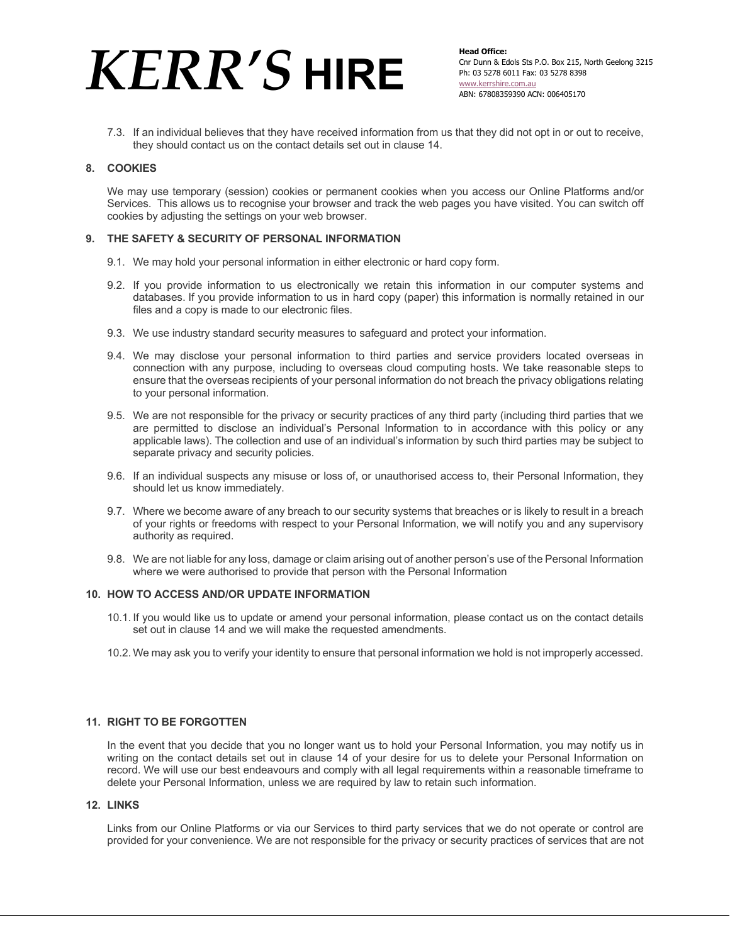7.3. If an individual believes that they have received information from us that they did not opt in or out to receive, they should contact us on the contact details set out in clause 14.

## **8. COOKIES**

We may use temporary (session) cookies or permanent cookies when you access our Online Platforms and/or Services. This allows us to recognise your browser and track the web pages you have visited. You can switch off cookies by adjusting the settings on your web browser.

## **9. THE SAFETY & SECURITY OF PERSONAL INFORMATION**

- 9.1. We may hold your personal information in either electronic or hard copy form.
- 9.2. If you provide information to us electronically we retain this information in our computer systems and databases. If you provide information to us in hard copy (paper) this information is normally retained in our files and a copy is made to our electronic files.
- 9.3. We use industry standard security measures to safeguard and protect your information.
- 9.4. We may disclose your personal information to third parties and service providers located overseas in connection with any purpose, including to overseas cloud computing hosts. We take reasonable steps to ensure that the overseas recipients of your personal information do not breach the privacy obligations relating to your personal information.
- 9.5. We are not responsible for the privacy or security practices of any third party (including third parties that we are permitted to disclose an individual's Personal Information to in accordance with this policy or any applicable laws). The collection and use of an individual's information by such third parties may be subject to separate privacy and security policies.
- 9.6. If an individual suspects any misuse or loss of, or unauthorised access to, their Personal Information, they should let us know immediately.
- 9.7. Where we become aware of any breach to our security systems that breaches or is likely to result in a breach of your rights or freedoms with respect to your Personal Information, we will notify you and any supervisory authority as required.
- 9.8. We are not liable for any loss, damage or claim arising out of another person's use of the Personal Information where we were authorised to provide that person with the Personal Information

### **10. HOW TO ACCESS AND/OR UPDATE INFORMATION**

- 10.1. If you would like us to update or amend your personal information, please contact us on the contact details set out in clause 14 and we will make the requested amendments.
- 10.2. We may ask you to verify your identity to ensure that personal information we hold is not improperly accessed.

## **11. RIGHT TO BE FORGOTTEN**

In the event that you decide that you no longer want us to hold your Personal Information, you may notify us in writing on the contact details set out in clause 14 of your desire for us to delete your Personal Information on record. We will use our best endeavours and comply with all legal requirements within a reasonable timeframe to delete your Personal Information, unless we are required by law to retain such information.

## **12. LINKS**

Links from our Online Platforms or via our Services to third party services that we do not operate or control are provided for your convenience. We are not responsible for the privacy or security practices of services that are not